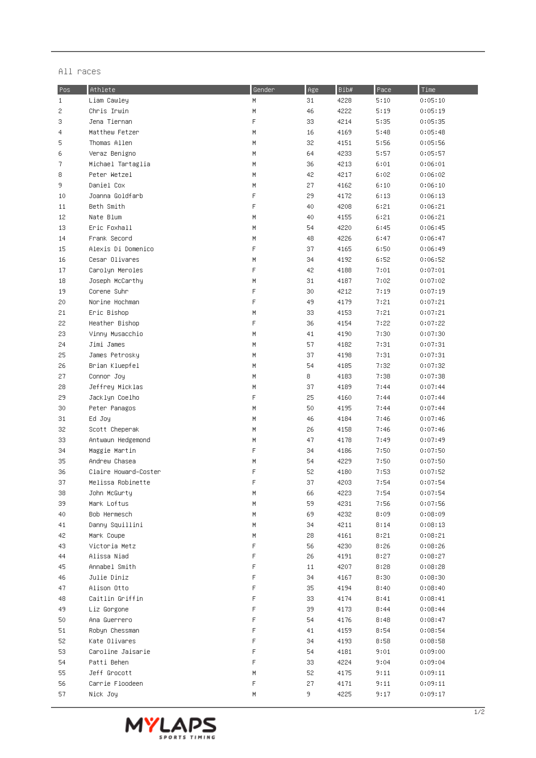## All races

| Pos   | Athlete              | Gender | Age | Bib# | Pace | Time    |
|-------|----------------------|--------|-----|------|------|---------|
| $1\,$ | Liam Cawley          | H      | 31  | 4228 | 5:10 | 0:05:10 |
| 2     | Chris Irwin          | М      | 46  | 4222 | 5:19 | 0:05:19 |
| 3     | Jena Tiernan         | F      | 33  | 4214 | 5:35 | 0:05:35 |
| 4     | Matthew Fetzer       | М      | 16  | 4169 | 5:48 | 0:05:48 |
| 5     | Thomas Allen         | M      | 32  | 4151 | 5:56 | 0:05:56 |
| 6     | Veraz Benigno        | M      | 64  | 4233 | 5:57 | 0:05:57 |
| 7     | Michael Tartaglia    | M      | 36  | 4213 | 6:01 | 0:06:01 |
| 8     | Peter Wetzel         | М      | 42  | 4217 | 6:02 | 0:06:02 |
| 9     | Daniel Cox           | M      | 27  | 4162 | 6:10 | 0:06:10 |
| 10    | Joanna Goldfarb      | F      | 29  | 4172 | 6:13 | 0:06:13 |
| 11    | Beth Smith           | F      | 40  | 4208 | 6:21 | 0:06:21 |
| 12    | Nate Blum            | М      | 40  | 4155 | 6:21 | 0:06:21 |
| 13    | Eric Foxhall         | М      | 54  | 4220 | 6:45 | 0:06:45 |
| 14    | Frank Secord         | М      | 48  | 4226 | 6:47 | 0:06:47 |
| 15    | Alexis Di Domenico   | F      | 37  | 4165 | 6:50 | 0:06:49 |
| 16    | Cesar Olivares       | М      | 34  | 4192 | 6:52 | 0:06:52 |
| 17    | Carolyn Meroles      | F      | 42  | 4188 | 7:01 | 0:07:01 |
| 18    | Joseph McCarthy      | М      | 31  | 4187 | 7:02 | 0:07:02 |
| 19    | Corene Suhr          | F      | 30  | 4212 | 7:19 | 0:07:19 |
| 20    | Norine Hochman       | F      | 49  | 4179 | 7:21 | 0:07:21 |
| 21    | Eric Bishop          | М      | 33  | 4153 | 7:21 | 0:07:21 |
| 22    | Heather Bishop       | F      | 36  | 4154 | 7:22 | 0:07:22 |
| 23    | Vinny Musacchio      | M      | 41  | 4190 | 7:30 | 0:07:30 |
| 24    | Jimi James           | М      | 57  | 4182 | 7:31 | 0:07:31 |
| 25    | James Petrosky       | М      | 37  | 4198 | 7:31 | 0:07:31 |
| 26    | Brian Kluepfel       | М      | 54  | 4185 | 7:32 | 0:07:32 |
| 27    | Connor Joy           | М      | 8   | 4183 | 7:38 | 0:07:38 |
| 28    | Jeffrey Micklas      | М      | 37  | 4189 | 7:44 | 0:07:44 |
| 29    | Jacklyn Coelho       | F      | 25  | 4160 | 7:44 | 0:07:44 |
| 30    | Peter Panagos        | M      | 50  | 4195 | 7:44 | 0:07:44 |
| 31    | Ed Joy               | Μ      | 46  | 4184 | 7:46 | 0:07:46 |
| 32    | Scott Cheperak       | M      | 26  | 4158 | 7:46 | 0:07:46 |
| 33    | Antwaun Hedgemond    | М      | 47  | 4178 | 7:49 | 0:07:49 |
| 34    | Maggie Martin        | F      | 34  | 4186 | 7:50 | 0:07:50 |
| 35    | Andrew Chasea        | М      | 54  | 4229 | 7:50 | 0:07:50 |
| 36    | Claire Howard-Coster | F      | 52  | 4180 | 7:53 | 0:07:52 |
| 37    | Melissa Robinette    | F      | 37  | 4203 | 7:54 | 0:07:54 |
| 38    | John McGurty         | М      | 66  | 4223 | 7:54 | 0:07:54 |
| 39    | Mark Loftus          | М      | 59  | 4231 | 7:56 | 0:07:56 |
| 40    | Bob Hermesch         | М      | 69  | 4232 | 8:09 | 0:08:09 |
| 41    | Danny Squillini      | М      | 34  | 4211 | 8:14 | 0:08:13 |
| 42    | Mark Coupe           | M      | 28  | 4161 | 8:21 | 0:08:21 |
| 43    | Victoria Metz        | F      | 56  | 4230 | 8:26 | 0:08:26 |
| 44    | Alissa Niad          | F      | 26  | 4191 | 8:27 | 0:08:27 |
| 45    | Annabel Smith        | F      | 11  | 4207 | 8:28 | 0:08:28 |
| 46    | Julie Diniz          | F      | 34  | 4167 | 8:30 | 0:08:30 |
| 47    | Alison Otto          | F      | 35  | 4194 | 8:40 | 0:08:40 |
| 48    | Caitlin Griffin      | F      | 33  | 4174 | 8:41 | 0:08:41 |
| 49    | Liz Gorgone          | F      | 39  | 4173 | 8:44 | 0:08:44 |
| 50    | Ana Guerrero         | F      | 54  | 4176 | 8:48 | 0:08:47 |
| 51    | Robyn Chessman       | F      | 41  | 4159 | 8:54 | 0:08:54 |
| 52    | Kate Olivares        | F      | 34  | 4193 | 8:58 | 0:08:58 |
| 53    | Caroline Jaisarie    | F      | 54  | 4181 | 9:01 | 0:09:00 |
| 54    | Patti Behen          | F      | 33  | 4224 | 9:04 | 0:09:04 |
| 55    | Jeff Grocott         | М      | 52  | 4175 | 9:11 | 0:09:11 |
| 56    | Carrie Floodeen      | F      | 27  | 4171 | 9:11 | 0:09:11 |
| 57    | Nick Joy             | Μ      | 9.  | 4225 | 9:17 | 0:09:17 |